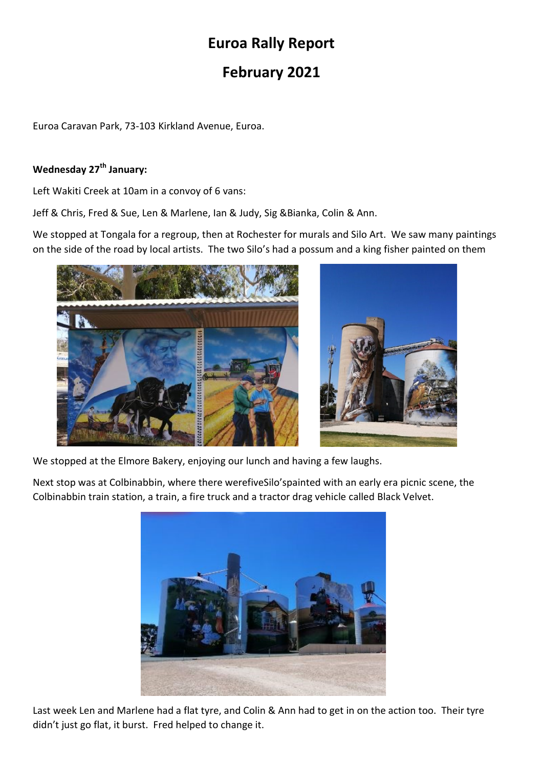# Euroa Rally Report

## February 2021

Euroa Caravan Park, 73-103 Kirkland Avenue, Euroa.

## Wednesday 27<sup>th</sup> January:

Left Wakiti Creek at 10am in a convoy of 6 vans:

Jeff & Chris, Fred & Sue, Len & Marlene, Ian & Judy, Sig &Bianka, Colin & Ann.

We stopped at Tongala for a regroup, then at Rochester for murals and Silo Art. We saw many paintings on the side of the road by local artists. The two Silo's had a possum and a king fisher painted on them



We stopped at the Elmore Bakery, enjoying our lunch and having a few laughs.

Next stop was at Colbinabbin, where there werefiveSilo'spainted with an early era picnic scene, the Colbinabbin train station, a train, a fire truck and a tractor drag vehicle called Black Velvet.



Last week Len and Marlene had a flat tyre, and Colin & Ann had to get in on the action too. Their tyre didn't just go flat, it burst. Fred helped to change it.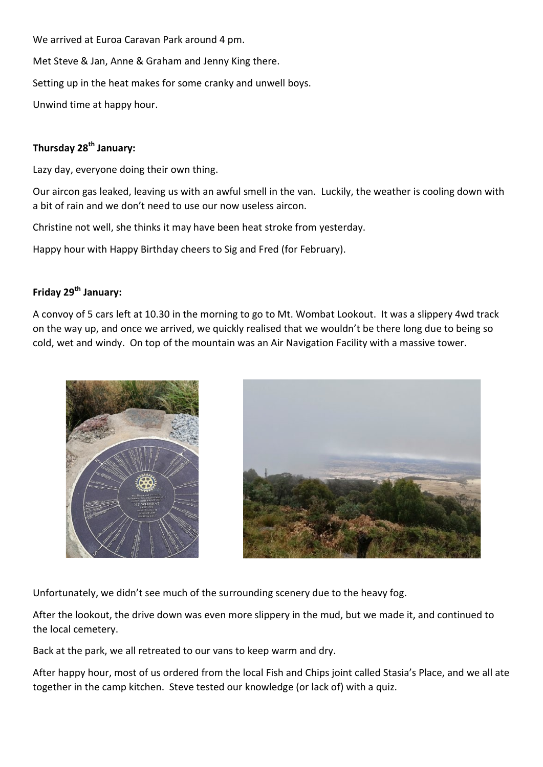We arrived at Euroa Caravan Park around 4 pm.

Met Steve & Jan, Anne & Graham and Jenny King there.

Setting up in the heat makes for some cranky and unwell boys.

Unwind time at happy hour.

#### Thursday 28<sup>th</sup> January:

Lazy day, everyone doing their own thing.

Our aircon gas leaked, leaving us with an awful smell in the van. Luckily, the weather is cooling down with a bit of rain and we don't need to use our now useless aircon.

Christine not well, she thinks it may have been heat stroke from yesterday.

Happy hour with Happy Birthday cheers to Sig and Fred (for February).

#### Friday 29<sup>th</sup> January:

A convoy of 5 cars left at 10.30 in the morning to go to Mt. Wombat Lookout. It was a slippery 4wd track on the way up, and once we arrived, we quickly realised that we wouldn't be there long due to being so cold, wet and windy. On top of the mountain was an Air Navigation Facility with a massive tower.





Unfortunately, we didn't see much of the surrounding scenery due to the heavy fog.

After the lookout, the drive down was even more slippery in the mud, but we made it, and continued to the local cemetery.

Back at the park, we all retreated to our vans to keep warm and dry.

After happy hour, most of us ordered from the local Fish and Chips joint called Stasia's Place, and we all ate together in the camp kitchen. Steve tested our knowledge (or lack of) with a quiz.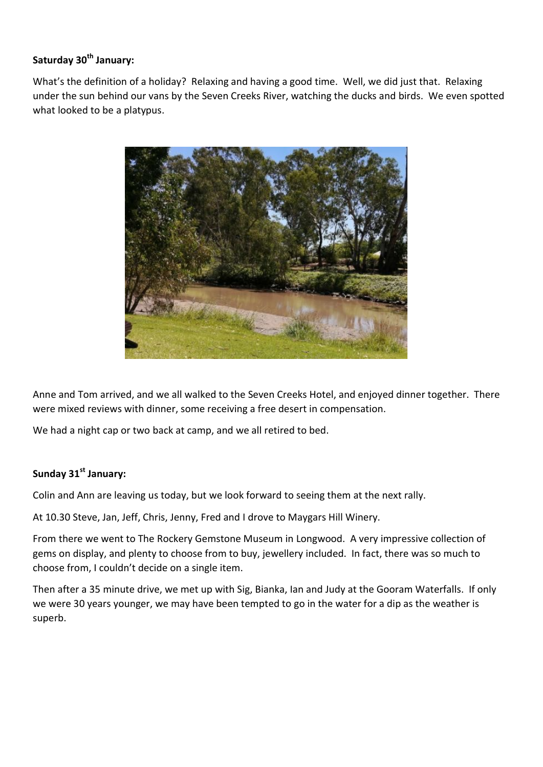## Saturday 30<sup>th</sup> January:

What's the definition of a holiday? Relaxing and having a good time. Well, we did just that. Relaxing under the sun behind our vans by the Seven Creeks River, watching the ducks and birds. We even spotted what looked to be a platypus.



Anne and Tom arrived, and we all walked to the Seven Creeks Hotel, and enjoyed dinner together. There were mixed reviews with dinner, some receiving a free desert in compensation.

We had a night cap or two back at camp, and we all retired to bed.

### Sunday 31<sup>st</sup> January:

Colin and Ann are leaving us today, but we look forward to seeing them at the next rally.

At 10.30 Steve, Jan, Jeff, Chris, Jenny, Fred and I drove to Maygars Hill Winery.

From there we went to The Rockery Gemstone Museum in Longwood. A very impressive collection of gems on display, and plenty to choose from to buy, jewellery included. In fact, there was so much to choose from, I couldn't decide on a single item.

Then after a 35 minute drive, we met up with Sig, Bianka, Ian and Judy at the Gooram Waterfalls. If only we were 30 years younger, we may have been tempted to go in the water for a dip as the weather is superb.